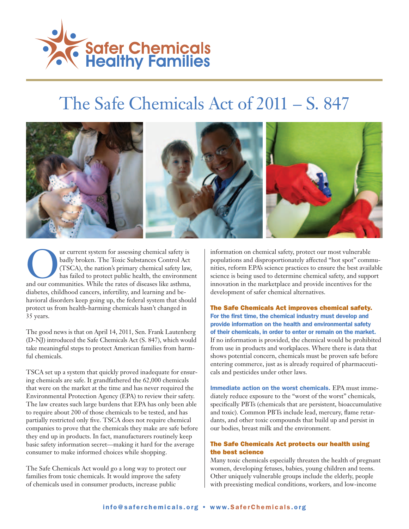

# The Safe Chemicals Act of 2011 – S. 847



UU current system for assessing chemical safety is<br>
and our communities. While the rates of diseases like asthma,<br>
and our communities. While the rates of diseases like asthma, badly broken. The Toxic Substances Control Act (TSCA), the nation's primary chemical safety law, has failed to protect public health, the environment diabetes, childhood cancers, infertility, and learning and behavioral disorders keep going up, the federal system that should protect us from health-harming chemicals hasn't changed in 35 years.

The good news is that on April 14, 2011, Sen. Frank Lautenberg (D-NJ) introduced the Safe Chemicals Act (S. 847), which would take meaningful steps to protect American families from harmful chemicals.

TSCA set up a system that quickly proved inadequate for ensuring chemicals are safe. It grandfathered the 62,000 chemicals that were on the market at the time and has never required the Environmental Protection Agency (EPA) to review their safety. The law creates such large burdens that EPA has only been able to require about 200 of those chemicals to be tested, and has partially restricted only five. TSCA does not require chemical companies to prove that the chemicals they make are safe before they end up in products. In fact, manufacturers routinely keep basic safety information secret—making it hard for the average consumer to make informed choices while shopping.

The Safe Chemicals Act would go a long way to protect our families from toxic chemicals. It would improve the safety of chemicals used in consumer products, increase public

information on chemical safety, protect our most vulnerable populations and disproportionately affected "hot spot" communities, reform EPA's science practices to ensure the best available science is being used to determine chemical safety, and support innovation in the marketplace and provide incentives for the development of safer chemical alternatives.

The Safe Chemicals Act improves chemical safety. For the first time, the chemical industry must develop and provide information on the health and environmental safety of their chemicals, in order to enter or remain on the market. If no information is provided, the chemical would be prohibited from use in products and workplaces. Where there is data that shows potential concern, chemicals must be proven safe before entering commerce, just as is already required of pharmaceuticals and pesticides under other laws.

Immediate action on the worst chemicals. EPA must immediately reduce exposure to the "worst of the worst" chemicals, specifically PBTs (chemicals that are persistent, bioaccumulative and toxic). Common PBTs include lead, mercury, flame retardants, and other toxic compounds that build up and persist in our bodies, breast milk and the environment.

#### The Safe Chemicals Act protects our health using the best science

Many toxic chemicals especially threaten the health of pregnant women, developing fetuses, babies, young children and teens. Other uniquely vulnerable groups include the elderly, people with preexisting medical conditions, workers, and low-income